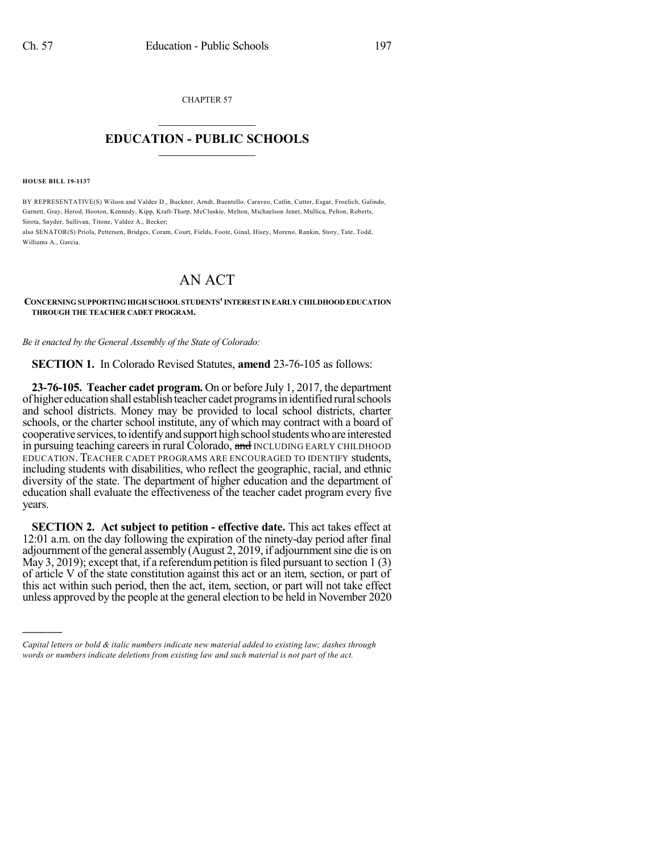CHAPTER 57

## $\overline{\phantom{a}}$  . The set of the set of the set of the set of the set of the set of the set of the set of the set of the set of the set of the set of the set of the set of the set of the set of the set of the set of the set o **EDUCATION - PUBLIC SCHOOLS**  $\_$   $\_$   $\_$   $\_$   $\_$   $\_$   $\_$   $\_$   $\_$

**HOUSE BILL 19-1137**

)))))

BY REPRESENTATIVE(S) Wilson and Valdez D., Buckner, Arndt, Buentello, Caraveo, Catlin, Cutter, Esgar, Froelich, Galindo, Garnett, Gray, Herod, Hooton, Kennedy, Kipp, Kraft-Tharp, McCluskie, Melton, Michaelson Jenet, Mullica, Pelton, Roberts, Sirota, Snyder, Sullivan, Titone, Valdez A., Becker;

also SENATOR(S) Priola, Pettersen, Bridges, Coram, Court, Fields, Foote, Ginal, Hisey, Moreno, Rankin, Story, Tate, Todd, Williams A., Garcia.

## AN ACT

**CONCERNING SUPPORTINGHIGHSCHOOLSTUDENTS'INTERESTIN EARLY CHILDHOOD EDUCATION THROUGH THE TEACHER CADET PROGRAM.**

*Be it enacted by the General Assembly of the State of Colorado:*

**SECTION 1.** In Colorado Revised Statutes, **amend** 23-76-105 as follows:

**23-76-105. Teacher cadet program.** On or before July 1, 2017, the department of higher education shall establishteacher cadet programs in identified rural schools and school districts. Money may be provided to local school districts, charter schools, or the charter school institute, any of which may contract with a board of cooperative services, to identify and support high school students who are interested in pursuing teaching careers in rural Colorado, and INCLUDING EARLY CHILDHOOD EDUCATION. TEACHER CADET PROGRAMS ARE ENCOURAGED TO IDENTIFY students, including students with disabilities, who reflect the geographic, racial, and ethnic diversity of the state. The department of higher education and the department of education shall evaluate the effectiveness of the teacher cadet program every five years.

**SECTION 2. Act subject to petition - effective date.** This act takes effect at 12:01 a.m. on the day following the expiration of the ninety-day period after final adjournment of the general assembly (August 2, 2019, if adjournment sine die is on May 3, 2019); except that, if a referendum petition is filed pursuant to section  $1(3)$ of article V of the state constitution against this act or an item, section, or part of this act within such period, then the act, item, section, or part will not take effect unless approved by the people at the general election to be held in November 2020

*Capital letters or bold & italic numbers indicate new material added to existing law; dashes through words or numbers indicate deletions from existing law and such material is not part of the act.*